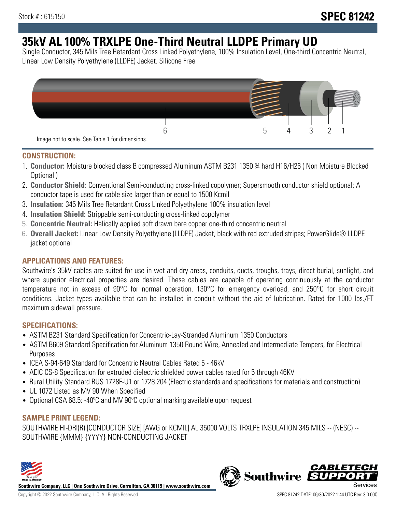# **35kV AL 100% TRXLPE One-Third Neutral LLDPE Primary UD**

Single Conductor, 345 Mils Tree Retardant Cross Linked Polyethylene, 100% Insulation Level, One-third Concentric Neutral, Linear Low Density Polyethylene (LLDPE) Jacket. Silicone Free



# **CONSTRUCTION:**

- 1. **Conductor:** Moisture blocked class B compressed Aluminum ASTM B231 1350 ¾ hard H16/H26 ( Non Moisture Blocked Optional )
- 2. **Conductor Shield:** Conventional Semi-conducting cross-linked copolymer; Supersmooth conductor shield optional; A conductor tape is used for cable size larger than or equal to 1500 Kcmil
- 3. **Insulation:** 345 Mils Tree Retardant Cross Linked Polyethylene 100% insulation level
- 4. **Insulation Shield:** Strippable semi-conducting cross-linked copolymer
- 5. **Concentric Neutral:** Helically applied soft drawn bare copper one-third concentric neutral
- 6. **Overall Jacket:** Linear Low Density Polyethylene (LLDPE) Jacket, black with red extruded stripes; PowerGlide® LLDPE jacket optional

# **APPLICATIONS AND FEATURES:**

Southwire's 35kV cables are suited for use in wet and dry areas, conduits, ducts, troughs, trays, direct burial, sunlight, and where superior electrical properties are desired. These cables are capable of operating continuously at the conductor temperature not in excess of 90°C for normal operation. 130°C for emergency overload, and 250°C for short circuit conditions. Jacket types available that can be installed in conduit without the aid of lubrication. Rated for 1000 lbs./FT maximum sidewall pressure.

# **SPECIFICATIONS:**

- ASTM B231 Standard Specification for Concentric-Lay-Stranded Aluminum 1350 Conductors
- ASTM B609 Standard Specification for Aluminum 1350 Round Wire, Annealed and Intermediate Tempers, for Electrical Purposes
- ICEA S-94-649 Standard for Concentric Neutral Cables Rated 5 46kV
- AEIC CS-8 Specification for extruded dielectric shielded power cables rated for 5 through 46KV
- Rural Utility Standard RUS 1728F-U1 or 1728.204 (Electric standards and specifications for materials and construction)
- UL 1072 Listed as MV 90 When Specified
- Optional CSA 68.5: -40ºC and MV 90ºC optional marking available upon request

# **SAMPLE PRINT LEGEND:**

SOUTHWIRE HI-DRI(R) [CONDUCTOR SIZE] [AWG or KCMIL] AL 35000 VOLTS TRXLPE INSULATION 345 MILS -- (NESC) -- SOUTHWIRE {MMM} {YYYY} NON-CONDUCTING JACKET



**Southwire Company, LLC | One Southwire Drive, Carrollton, GA 30119 | www.southwire.com**

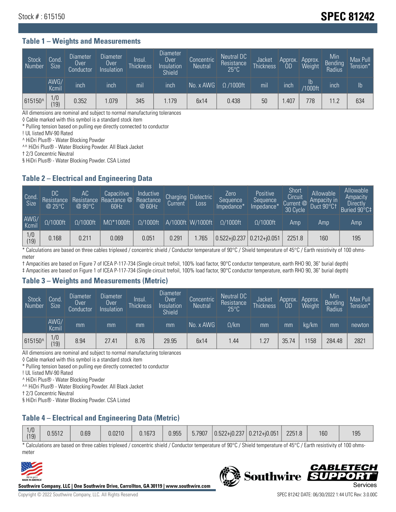# Stock # : 615150 **SPEC 81242**

#### **Table 1 – Weights and Measurements**

| <b>Stock</b><br>Number | Cond.<br>Size <sup>1</sup> | <b>Diameter</b><br>Over<br>Conductor | Diameter<br>Over<br>Insulation | Insul.<br><b>Thickness</b> | <b>Diameter</b><br>Over<br>Insulation<br><b>Shield</b> | Concentric<br><b>Neutral</b> | Neutral DC<br>Resistance<br>$25^{\circ}$ C | Jacket<br><b>Thickness</b> | Approx.<br>0D | Approx.<br>Weight        | Min<br><b>Bending</b><br>Radius | Max Pull<br>Tension* |
|------------------------|----------------------------|--------------------------------------|--------------------------------|----------------------------|--------------------------------------------------------|------------------------------|--------------------------------------------|----------------------------|---------------|--------------------------|---------------------------------|----------------------|
|                        | AWG/<br>Kcmil              | inch                                 | inch                           | mıl                        | inch                                                   | No. x AWG                    | $\Omega$ /1000ft                           | mil                        | inch          | $\mathsf{lb}$<br>/1000ft | inch                            | $\mathsf{lb}$        |
| 615150^                | 1/0<br>19)                 | 0.352                                | 1.079                          | 345                        | .179                                                   | 6x14                         | 0.438                                      | 50                         | .407          | 778                      | 11.2                            | 634                  |

All dimensions are nominal and subject to normal manufacturing tolerances

◊ Cable marked with this symbol is a standard stock item

\* Pulling tension based on pulling eye directly connected to conductor

! UL listed MV-90 Rated

^ HiDri Plus® - Water Blocking Powder

^^ HiDri Plus® - Water Blocking Powder. All Black Jacket

† 2/3 Concentric Neutral

§ HiDri Plus® - Water Blocking Powder. CSA Listed

# **Table 2 – Electrical and Engineering Data**

| Cond.<br>Size         | 'DC.<br>Resistance<br>$@$ 25°C $^{\prime\prime}$ | АC<br>Resistance<br>$\varpi$ 90°C | Capacitive<br>Reactance @<br>60Hz | Inductive<br>Reactance<br>@ 60Hz | <b>Charging</b><br>Current | Dielectric<br>Loss | Zero<br>Sequence<br>Impedance* | Positive<br>Sequence<br>Impedance <sup>®</sup> | Short<br>Circuit<br>Current <sup>@</sup><br>30 Cycle | Allowable<br>Ampacity in<br>Duct 90°C† | Allowable<br>Ampacity<br>Directly<br>Buried 90°C‡ |
|-----------------------|--------------------------------------------------|-----------------------------------|-----------------------------------|----------------------------------|----------------------------|--------------------|--------------------------------|------------------------------------------------|------------------------------------------------------|----------------------------------------|---------------------------------------------------|
| AWG/<br>Kcmil         | $\Omega/1000$ ft                                 | $\Omega/1000$ ft                  | $M\Omega^*1000$ ft                | $\Omega/1000$ ft                 |                            | A/1000ft W/1000ft  | $\Omega/1000$ ft               | $\Omega$ /1000ft                               | Amp                                                  | Amp                                    | Amp                                               |
| $\frac{1}{0}$<br>(19) | 0.168                                            | 0.211                             | 0.069                             | 0.051                            | 0.291                      | 1.765              | $0.522 + i0.237$ 0.212+i0.051  |                                                | 2251.8                                               | 160                                    | 195                                               |

\* Calculations are based on three cables triplexed / concentric shield / Conductor temperature of 90°C / Shield temperature of 45°C / Earth resistivity of 100 ohmsmeter

† Ampacities are based on Figure 7 of ICEA P-117-734 (Single circuit trefoil, 100% load factor, 90°C conductor temperature, earth RHO 90, 36" burial depth)

‡ Ampacities are based on Figure 1 of ICEA P-117-734 (Single circuit trefoil, 100% load factor, 90°C conductor temperature, earth RHO 90, 36" burial depth)

#### **Table 3 – Weights and Measurements (Metric)**

| Stock<br>Number | Cond.<br>Size <sup>1</sup> | <b>Diameter</b><br>Over<br>Conductor | <b>Diameter</b><br>Over<br>Insulation | Insul.<br><b>Thickness</b> | <b>Diameter</b><br>Over <sup>'</sup><br>Insulation<br><b>Shield</b> | Concentric<br>Neutral | Neutral DC<br>Resistance<br>$25^{\circ}$ C | Jacket<br><b>Thickness</b> | Approx.<br><b>OD</b> | Approx.<br>Weight | Min<br>Bending<br>Radius | Max Pull<br>Tension* |
|-----------------|----------------------------|--------------------------------------|---------------------------------------|----------------------------|---------------------------------------------------------------------|-----------------------|--------------------------------------------|----------------------------|----------------------|-------------------|--------------------------|----------------------|
|                 | AWG/<br>Kcmil              | mm                                   | mm                                    | mm                         | mm                                                                  | No. x AWG             | $\Omega$ /km                               | mm                         | mm                   | ka/km             | mm                       | newton               |
| 615150^         | 1/0<br>(19)                | 8.94                                 | 27.41                                 | 8.76                       | 29.95                                                               | 6x14                  | 44. ا                                      | 1.27                       | 35.74                | 158               | 284.48                   | 2821                 |

All dimensions are nominal and subject to normal manufacturing tolerances

◊ Cable marked with this symbol is a standard stock item

\* Pulling tension based on pulling eye directly connected to conductor

! UL listed MV-90 Rated

^ HiDri Plus® - Water Blocking Powder

^^ HiDri Plus® - Water Blocking Powder. All Black Jacket

† 2/3 Concentric Neutral

§ HiDri Plus® - Water Blocking Powder. CSA Listed

# **Table 4 – Electrical and Engineering Data (Metric)**

\* Calculations are based on three cables triplexed / concentric shield / Conductor temperature of 90°C / Shield temperature of 45°C / Earth resistivity of 100 ohmsmeter



**Southwire Company, LLC | One Southwire Drive, Carrollton, GA 30119 | www.southwire.com**